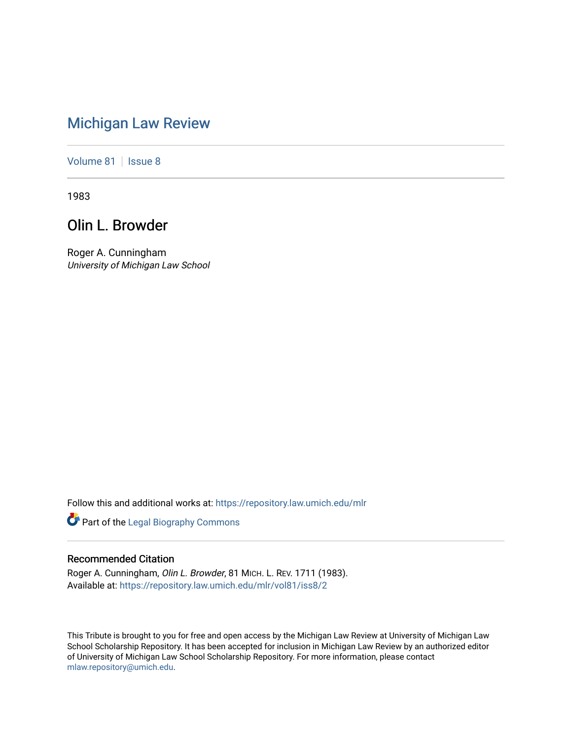# [Michigan Law Review](https://repository.law.umich.edu/mlr)

[Volume 81](https://repository.law.umich.edu/mlr/vol81) | [Issue 8](https://repository.law.umich.edu/mlr/vol81/iss8)

1983

## Olin L. Browder

Roger A. Cunningham University of Michigan Law School

Follow this and additional works at: [https://repository.law.umich.edu/mlr](https://repository.law.umich.edu/mlr?utm_source=repository.law.umich.edu%2Fmlr%2Fvol81%2Fiss8%2F2&utm_medium=PDF&utm_campaign=PDFCoverPages) 

Part of the [Legal Biography Commons](http://network.bepress.com/hgg/discipline/834?utm_source=repository.law.umich.edu%2Fmlr%2Fvol81%2Fiss8%2F2&utm_medium=PDF&utm_campaign=PDFCoverPages) 

#### Recommended Citation

Roger A. Cunningham, Olin L. Browder, 81 MICH. L. REV. 1711 (1983). Available at: [https://repository.law.umich.edu/mlr/vol81/iss8/2](https://repository.law.umich.edu/mlr/vol81/iss8/2?utm_source=repository.law.umich.edu%2Fmlr%2Fvol81%2Fiss8%2F2&utm_medium=PDF&utm_campaign=PDFCoverPages)

This Tribute is brought to you for free and open access by the Michigan Law Review at University of Michigan Law School Scholarship Repository. It has been accepted for inclusion in Michigan Law Review by an authorized editor of University of Michigan Law School Scholarship Repository. For more information, please contact [mlaw.repository@umich.edu.](mailto:mlaw.repository@umich.edu)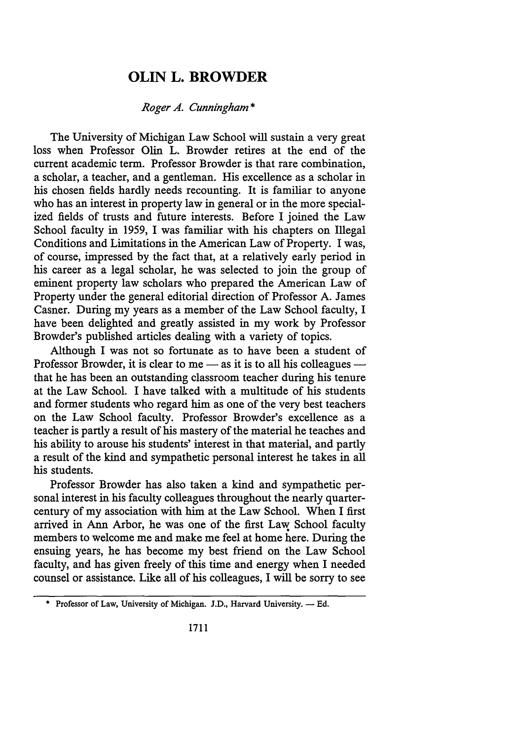### **OLIN L. BROWDER**

#### *Roger A. Cunningham\**

The University of Michigan Law School will sustain a very great loss when Professor Olin L. Browder retires at the end of the current academic term. Professor Browder is that rare combination, a scholar, a teacher, and a gentleman. His excellence as a scholar in his chosen fields hardly needs recounting. It is familiar to anyone who has an interest in property law in general or in the more specialized fields of trusts and future interests. Before I joined the Law School faculty in 1959, I was familiar with his chapters on Illegal Conditions and Limitations in the American Law of Property. I was, of course, impressed by the fact that, at a relatively early period in his career as a legal scholar, he was selected to join the group of eminent property law scholars who prepared the American Law of Property under the general editorial direction of Professor A. James Casner. During my years as a member of the Law School faculty, I have been delighted and greatly assisted in my work by Professor Browder's published articles dealing with a variety of topics.

Although I was not so fortunate as to have been a student of Professor Browder, it is clear to me  $-$  as it is to all his colleagues  $$ that he has been an outstanding classroom teacher during his tenure at the Law School. I have talked with a multitude of his students and former students who regard him as one of the very best teachers on the Law School faculty. Professor Browder's excellence as a teacher is partly a result of his mastery of the material he teaches and his ability to arouse his students' interest in that material, and partly a result of the kind and sympathetic personal interest he takes in all his students.

Professor Browder has also taken a kind and sympathetic personal interest in his faculty colleagues throughout the nearly quartercentury of my association with him at the Law School. When I first arrived in Ann Arbor, he was one of the first Law School faculty members to welcome me and make me feel at home here. During the ensuing years, he has become my best friend on the Law School faculty, and has given freely of this time and energy when I needed counsel or assistance. Like all of his colleagues, I will be sorry to see

<sup>\*</sup> Professor of Law, University of Michigan. J.D., Harvard University. --- Ed.